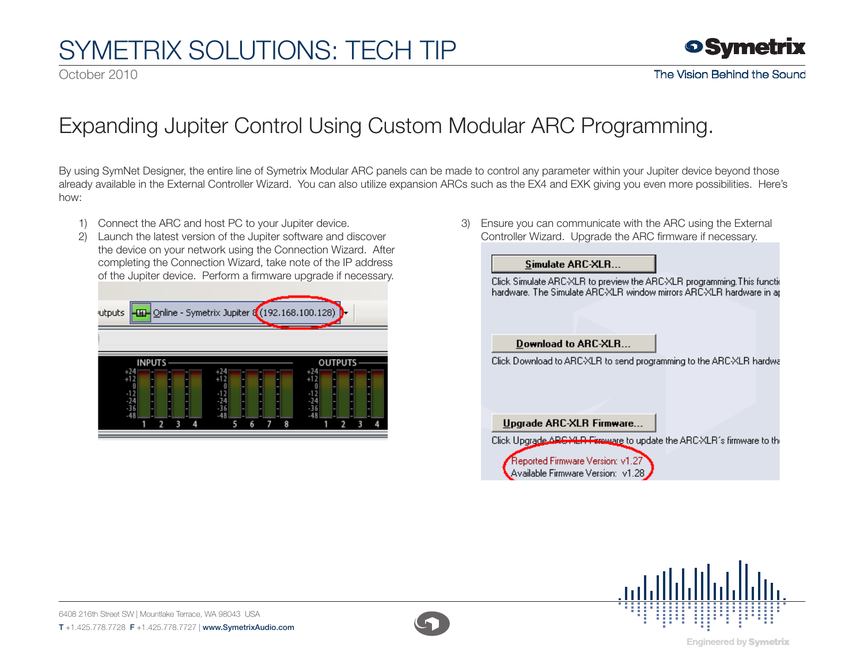# SymETRIX Solutions: Tech Tip

October 2010



### Expanding Jupiter Control Using Custom Modular ARC Programming.

By using SymNet Designer, the entire line of Symetrix Modular ARC panels can be made to control any parameter within your Jupiter device beyond those already available in the External Controller Wizard. You can also utilize expansion ARCs such as the EX4 and EXK giving you even more possibilities. Here's how:

- 1) Connect the ARC and host PC to your Jupiter device.
- 2) Launch the latest version of the Jupiter software and discover the device on your network using the Connection Wizard. After completing the Connection Wizard, take note of the IP address of the Jupiter device. Perform a firmware upgrade if necessary.

| <b>-ED-</b> Online - Symetrix Jupiter 8 (192.168.100.128)<br>utputs |        |                |  |
|---------------------------------------------------------------------|--------|----------------|--|
|                                                                     |        |                |  |
| <b>INPUTS</b><br>$^{+24}_{+12}$                                     |        | <b>OUTPUTS</b> |  |
|                                                                     |        |                |  |
|                                                                     | 8<br>6 |                |  |

3) Ensure you can communicate with the ARC using the External Controller Wizard. Upgrade the ARC firmware if necessary.

### Simulate ARC-XLR...

Click Simulate ARC-XLR to preview the ARC-XLR programming. This functic hardware. The Simulate ARC-XLR window mirrors ARC-XLR hardware in an

#### Download to ARC-XLR...

Click Download to ARC-XLR to send programming to the ARC-XLR hardwa

Upgrade ARC-XLR Firmware...

Click Upgrade ARG YER Fireware to update the ARC-XLR's firmware to the

Reported Firmware Version: v1.27 Available Firmware Version: v1.28